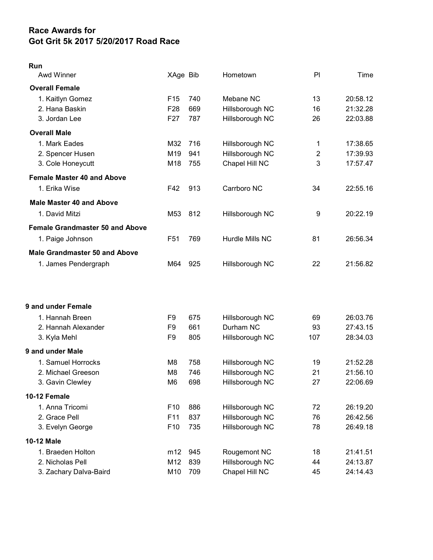## Race Awards for Got Grit 5k 2017 5/20/2017 Road Race

## Run

| Awd Winner                             | XAge Bib        |     | Hometown        | PI             | Time     |
|----------------------------------------|-----------------|-----|-----------------|----------------|----------|
| <b>Overall Female</b>                  |                 |     |                 |                |          |
| 1. Kaitlyn Gomez                       | F <sub>15</sub> | 740 | Mebane NC       | 13             | 20:58.12 |
| 2. Hana Baskin                         | F <sub>28</sub> | 669 | Hillsborough NC | 16             | 21:32.28 |
| 3. Jordan Lee                          | F27             | 787 | Hillsborough NC | 26             | 22:03.88 |
| <b>Overall Male</b>                    |                 |     |                 |                |          |
| 1. Mark Eades                          | M32             | 716 | Hillsborough NC | 1              | 17:38.65 |
| 2. Spencer Husen                       | M19             | 941 | Hillsborough NC | $\overline{2}$ | 17:39.93 |
| 3. Cole Honeycutt                      | M18             | 755 | Chapel Hill NC  | 3              | 17:57.47 |
| <b>Female Master 40 and Above</b>      |                 |     |                 |                |          |
| 1. Erika Wise                          | F42             | 913 | Carrboro NC     | 34             | 22:55.16 |
| <b>Male Master 40 and Above</b>        |                 |     |                 |                |          |
| 1. David Mitzi                         | M53             | 812 | Hillsborough NC | 9              | 20:22.19 |
| <b>Female Grandmaster 50 and Above</b> |                 |     |                 |                |          |
| 1. Paige Johnson                       | F <sub>51</sub> | 769 | Hurdle Mills NC | 81             | 26:56.34 |
| <b>Male Grandmaster 50 and Above</b>   |                 |     |                 |                |          |
| 1. James Pendergraph                   | M64             | 925 | Hillsborough NC | 22             | 21:56.82 |
|                                        |                 |     |                 |                |          |
| 9 and under Female                     |                 |     |                 |                |          |
| 1. Hannah Breen                        | F9              | 675 | Hillsborough NC | 69             | 26:03.76 |
| 2. Hannah Alexander                    | F9              | 661 | Durham NC       | 93             | 27:43.15 |
| 3. Kyla Mehl                           | F9              | 805 | Hillsborough NC | 107            | 28:34.03 |
| 9 and under Male                       |                 |     |                 |                |          |
| 1. Samuel Horrocks                     | M <sub>8</sub>  | 758 | Hillsborough NC | 19             | 21:52.28 |
| 2. Michael Greeson                     | M <sub>8</sub>  | 746 | Hillsborough NC | 21             | 21:56.10 |
| 3. Gavin Clewley                       | M <sub>6</sub>  | 698 | Hillsborough NC | 27             | 22:06.69 |
| 10-12 Female                           |                 |     |                 |                |          |
| 1. Anna Tricomi                        | F <sub>10</sub> | 886 | Hillsborough NC | 72             | 26:19.20 |
| 2. Grace Pell                          | F11             | 837 | Hillsborough NC | 76             | 26:42.56 |
| 3. Evelyn George                       | F10             | 735 | Hillsborough NC | 78             | 26:49.18 |
| <b>10-12 Male</b>                      |                 |     |                 |                |          |
| 1. Braeden Holton                      | m12             | 945 | Rougemont NC    | 18             | 21:41.51 |
| 2. Nicholas Pell                       | M12             | 839 | Hillsborough NC | 44             | 24:13.87 |
| 3. Zachary Dalva-Baird                 | M10             | 709 | Chapel Hill NC  | 45             | 24:14.43 |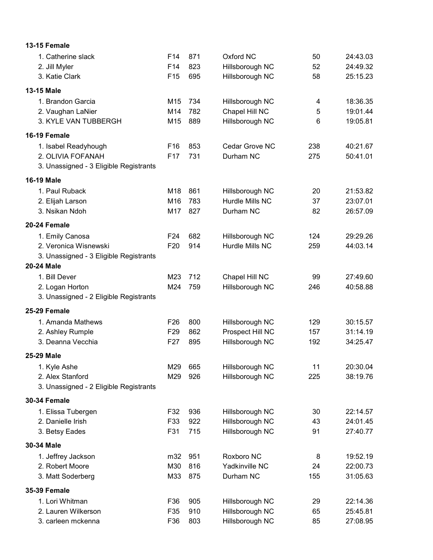| <b>13-15 Female</b>                    |                 |     |                  |     |          |
|----------------------------------------|-----------------|-----|------------------|-----|----------|
| 1. Catherine slack                     | F <sub>14</sub> | 871 | Oxford NC        | 50  | 24:43.03 |
| 2. Jill Myler                          | F14             | 823 | Hillsborough NC  | 52  | 24:49.32 |
| 3. Katie Clark                         | F <sub>15</sub> | 695 | Hillsborough NC  | 58  | 25:15.23 |
| 13-15 Male                             |                 |     |                  |     |          |
| 1. Brandon Garcia                      | M15             | 734 | Hillsborough NC  | 4   | 18:36.35 |
| 2. Vaughan LaNier                      | M14             | 782 | Chapel Hill NC   | 5   | 19:01.44 |
| 3. KYLE VAN TUBBERGH                   | M15             | 889 | Hillsborough NC  | 6   | 19:05.81 |
| 16-19 Female                           |                 |     |                  |     |          |
| 1. Isabel Readyhough                   | F <sub>16</sub> | 853 | Cedar Grove NC   | 238 | 40:21.67 |
| 2. OLIVIA FOFANAH                      | F17             | 731 | Durham NC        | 275 | 50:41.01 |
| 3. Unassigned - 3 Eligible Registrants |                 |     |                  |     |          |
| <b>16-19 Male</b>                      |                 |     |                  |     |          |
| 1. Paul Ruback                         | M18             | 861 | Hillsborough NC  | 20  | 21:53.82 |
| 2. Elijah Larson                       | M16             | 783 | Hurdle Mills NC  | 37  | 23:07.01 |
| 3. Nsikan Ndoh                         | M17             | 827 | Durham NC        | 82  | 26:57.09 |
| 20-24 Female                           |                 |     |                  |     |          |
| 1. Emily Canosa                        | F <sub>24</sub> | 682 | Hillsborough NC  | 124 | 29:29.26 |
| 2. Veronica Wisnewski                  | F <sub>20</sub> | 914 | Hurdle Mills NC  | 259 | 44:03.14 |
| 3. Unassigned - 3 Eligible Registrants |                 |     |                  |     |          |
| <b>20-24 Male</b>                      |                 |     |                  |     |          |
| 1. Bill Dever                          | M23             | 712 | Chapel Hill NC   | 99  | 27:49.60 |
| 2. Logan Horton                        | M24             | 759 | Hillsborough NC  | 246 | 40:58.88 |
| 3. Unassigned - 2 Eligible Registrants |                 |     |                  |     |          |
| 25-29 Female                           |                 |     |                  |     |          |
| 1. Amanda Mathews                      | F <sub>26</sub> | 800 | Hillsborough NC  | 129 | 30:15.57 |
| 2. Ashley Rumple                       | F <sub>29</sub> | 862 | Prospect Hill NC | 157 | 31:14.19 |
| 3. Deanna Vecchia                      | F <sub>27</sub> | 895 | Hillsborough NC  | 192 | 34:25.47 |
| 25-29 Male                             |                 |     |                  |     |          |
| 1. Kyle Ashe                           | M29             | 665 | Hillsborough NC  | 11  | 20:30.04 |
| 2. Alex Stanford                       | M29             | 926 | Hillsborough NC  | 225 | 38:19.76 |
| 3. Unassigned - 2 Eligible Registrants |                 |     |                  |     |          |
| <b>30-34 Female</b>                    |                 |     |                  |     |          |
| 1. Elissa Tubergen                     | F32             | 936 | Hillsborough NC  | 30  | 22:14.57 |
| 2. Danielle Irish                      | F33             | 922 | Hillsborough NC  | 43  | 24:01.45 |
| 3. Betsy Eades                         | F31             | 715 | Hillsborough NC  | 91  | 27:40.77 |
| 30-34 Male                             |                 |     |                  |     |          |
| 1. Jeffrey Jackson                     | m32             | 951 | Roxboro NC       | 8   | 19:52.19 |
| 2. Robert Moore                        | M30             | 816 | Yadkinville NC   | 24  | 22:00.73 |
| 3. Matt Soderberg                      | M33             | 875 | Durham NC        | 155 | 31:05.63 |
| <b>35-39 Female</b>                    |                 |     |                  |     |          |
| 1. Lori Whitman                        | F36             | 905 | Hillsborough NC  | 29  | 22:14.36 |
| 2. Lauren Wilkerson                    | F35             | 910 | Hillsborough NC  | 65  | 25:45.81 |
| 3. carleen mckenna                     | F36             | 803 | Hillsborough NC  | 85  | 27:08.95 |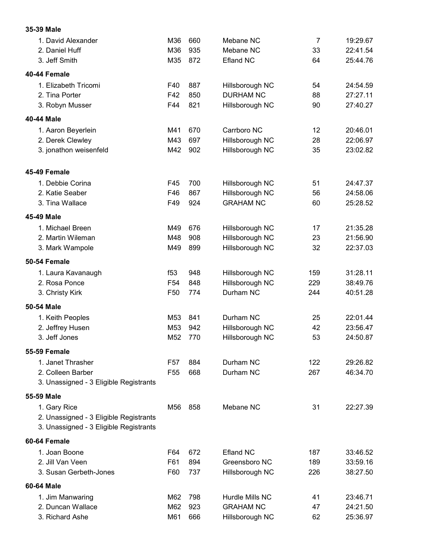| 35-39 Male                             |                 |     |                  |                |          |
|----------------------------------------|-----------------|-----|------------------|----------------|----------|
| 1. David Alexander                     | M36             | 660 | Mebane NC        | $\overline{7}$ | 19:29.67 |
| 2. Daniel Huff                         | M36             | 935 | Mebane NC        | 33             | 22:41.54 |
| 3. Jeff Smith                          | M35             | 872 | <b>Efland NC</b> | 64             | 25:44.76 |
| 40-44 Female                           |                 |     |                  |                |          |
| 1. Elizabeth Tricomi                   | F40             | 887 | Hillsborough NC  | 54             | 24:54.59 |
| 2. Tina Porter                         | F42             | 850 | <b>DURHAM NC</b> | 88             | 27:27.11 |
| 3. Robyn Musser                        | F44             | 821 | Hillsborough NC  | 90             | 27:40.27 |
| 40-44 Male                             |                 |     |                  |                |          |
| 1. Aaron Beyerlein                     | M41             | 670 | Carrboro NC      | 12             | 20:46.01 |
| 2. Derek Clewley                       | M43             | 697 | Hillsborough NC  | 28             | 22:06.97 |
| 3. jonathon weisenfeld                 | M42             | 902 | Hillsborough NC  | 35             | 23:02.82 |
| 45-49 Female                           |                 |     |                  |                |          |
| 1. Debbie Corina                       | F45             | 700 | Hillsborough NC  | 51             | 24:47.37 |
| 2. Katie Seaber                        | F46             | 867 | Hillsborough NC  | 56             | 24:58.06 |
| 3. Tina Wallace                        | F49             | 924 | <b>GRAHAM NC</b> | 60             | 25:28.52 |
| 45-49 Male                             |                 |     |                  |                |          |
| 1. Michael Breen                       | M49             | 676 | Hillsborough NC  | 17             | 21:35.28 |
| 2. Martin Wileman                      | M48             | 908 | Hillsborough NC  | 23             | 21:56.90 |
| 3. Mark Wampole                        | M49             | 899 | Hillsborough NC  | 32             | 22:37.03 |
| 50-54 Female                           |                 |     |                  |                |          |
| 1. Laura Kavanaugh                     | f <sub>53</sub> | 948 | Hillsborough NC  | 159            | 31:28.11 |
| 2. Rosa Ponce                          | F <sub>54</sub> | 848 | Hillsborough NC  | 229            | 38:49.76 |
| 3. Christy Kirk                        | F <sub>50</sub> | 774 | Durham NC        | 244            | 40:51.28 |
| 50-54 Male                             |                 |     |                  |                |          |
| 1. Keith Peoples                       | M53             | 841 | Durham NC        | 25             | 22:01.44 |
| 2. Jeffrey Husen                       | M53             | 942 | Hillsborough NC  | 42             | 23:56.47 |
| 3. Jeff Jones                          | M52             | 770 | Hillsborough NC  | 53             | 24:50.87 |
| <b>55-59 Female</b>                    |                 |     |                  |                |          |
| 1. Janet Thrasher                      | F57             | 884 | Durham NC        | 122            | 29:26.82 |
| 2. Colleen Barber                      | F <sub>55</sub> | 668 | Durham NC        | 267            | 46:34.70 |
| 3. Unassigned - 3 Eligible Registrants |                 |     |                  |                |          |
| 55-59 Male                             |                 |     |                  |                |          |
| 1. Gary Rice                           | M56             | 858 | Mebane NC        | 31             | 22:27.39 |
| 2. Unassigned - 3 Eligible Registrants |                 |     |                  |                |          |
| 3. Unassigned - 3 Eligible Registrants |                 |     |                  |                |          |
| 60-64 Female                           |                 |     |                  |                |          |
| 1. Joan Boone                          | F64             | 672 | Efland NC        | 187            | 33:46.52 |
| 2. Jill Van Veen                       | F61             | 894 | Greensboro NC    | 189            | 33:59.16 |
| 3. Susan Gerbeth-Jones                 | F60             | 737 | Hillsborough NC  | 226            | 38:27.50 |
| 60-64 Male                             |                 |     |                  |                |          |
| 1. Jim Manwaring                       | M62             | 798 | Hurdle Mills NC  | 41             | 23:46.71 |
| 2. Duncan Wallace                      | M62             | 923 | <b>GRAHAM NC</b> | 47             | 24:21.50 |
| 3. Richard Ashe                        | M61             | 666 | Hillsborough NC  | 62             | 25:36.97 |